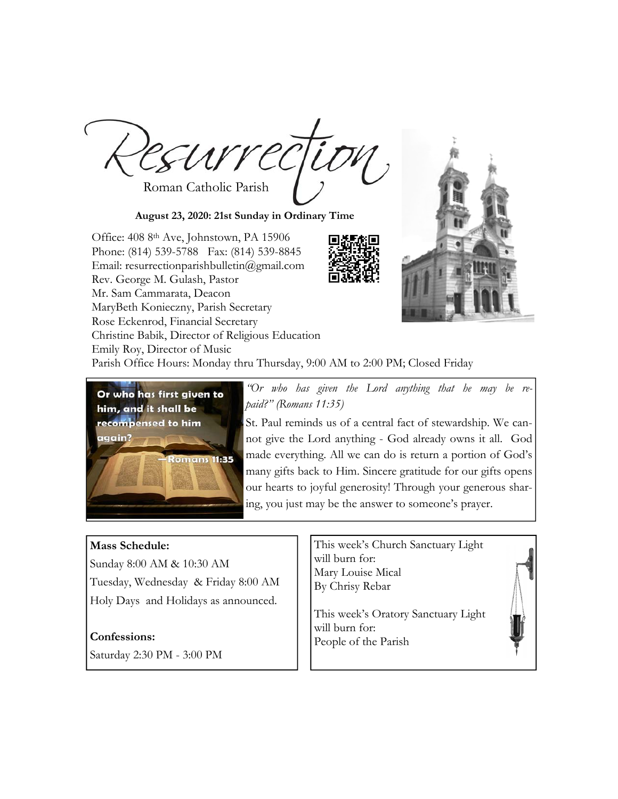Roman Catholic Parish

**August 23, 2020: 21st Sunday in Ordinary Time** 

Office: 408 8th Ave, Johnstown, PA 15906 Phone: (814) 539-5788 Fax: (814) 539-8845 Email: resurrectionparishbulletin@gmail.com Rev. George M. Gulash, Pastor Mr. Sam Cammarata, Deacon MaryBeth Konieczny, Parish Secretary Rose Eckenrod, Financial Secretary Christine Babik, Director of Religious Education Emily Roy, Director of Music



Parish Office Hours: Monday thru Thursday, 9:00 AM to 2:00 PM; Closed Friday



*"Or who has given the Lord anything that he may be repaid?" (Romans 11:35)* 

St. Paul reminds us of a central fact of stewardship. We cannot give the Lord anything - God already owns it all. God made everything. All we can do is return a portion of God's many gifts back to Him. Sincere gratitude for our gifts opens our hearts to joyful generosity! Through your generous sharing, you just may be the answer to someone's prayer.

# **Mass Schedule:**

Sunday 8:00 AM & 10:30 AM Tuesday, Wednesday & Friday 8:00 AM Holy Days and Holidays as announced.

## **Confessions:**

Saturday 2:30 PM - 3:00 PM

This week's Church Sanctuary Light will burn for: Mary Louise Mical By Chrisy Rebar

This week's Oratory Sanctuary Light will burn for: People of the Parish

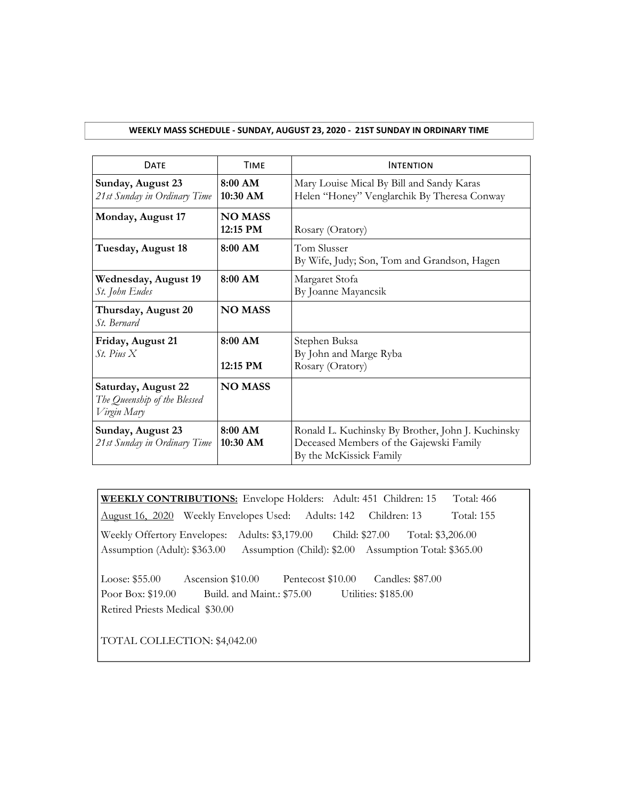## **WEEKLY MASS SCHEDULE ‐ SUNDAY, AUGUST 23, 2020 ‐ 21ST SUNDAY IN ORDINARY TIME**

| <b>DATF</b>                                                        | <b>TIMF</b>                | <b>INTENTION</b>                                                                                                        |
|--------------------------------------------------------------------|----------------------------|-------------------------------------------------------------------------------------------------------------------------|
| Sunday, August 23<br>21 st Sunday in Ordinary Time                 | 8:00 AM<br>$10:30$ AM      | Mary Louise Mical By Bill and Sandy Karas<br>Helen "Honey" Venglarchik By Theresa Conway                                |
| Monday, August 17                                                  | <b>NO MASS</b><br>12:15 PM | Rosary (Oratory)                                                                                                        |
| Tuesday, August 18                                                 | 8:00 AM                    | Tom Slusser<br>By Wife, Judy; Son, Tom and Grandson, Hagen                                                              |
| Wednesday, August 19<br>St. John Eudes                             | $8:00$ AM                  | Margaret Stofa<br>By Joanne Mayancsik                                                                                   |
| Thursday, August 20<br><i>St.</i> Bernard                          | <b>NO MASS</b>             |                                                                                                                         |
| Friday, August 21<br>$St$ Pius X                                   | 8:00 AM<br>12:15 PM        | Stephen Buksa<br>By John and Marge Ryba<br>Rosary (Oratory)                                                             |
| Saturday, August 22<br>The Queenship of the Blessed<br>Virgin Mary | <b>NO MASS</b>             |                                                                                                                         |
| Sunday, August 23<br>21 st Sunday in Ordinary Time                 | $8:00$ AM<br>10:30 AM      | Ronald L. Kuchinsky By Brother, John J. Kuchinsky<br>Deceased Members of the Gajewski Family<br>By the McKissick Family |

**WEEKLY CONTRIBUTIONS:** Envelope Holders: Adult: 451 Children: 15 Total: 466 August 16, 2020 Weekly Envelopes Used: Adults: 142 Children: 13 Total: 155 Weekly Offertory Envelopes: Adults: \$3,179.00 Child: \$27.00 Total: \$3,206.00 Assumption (Adult): \$363.00 Assumption (Child): \$2.00 Assumption Total: \$365.00

Loose: \$55.00 Ascension \$10.00 Pentecost \$10.00 Candles: \$87.00 Poor Box: \$19.00 Build. and Maint.: \$75.00 Utilities: \$185.00 Retired Priests Medical \$30.00

TOTAL COLLECTION: \$4,042.00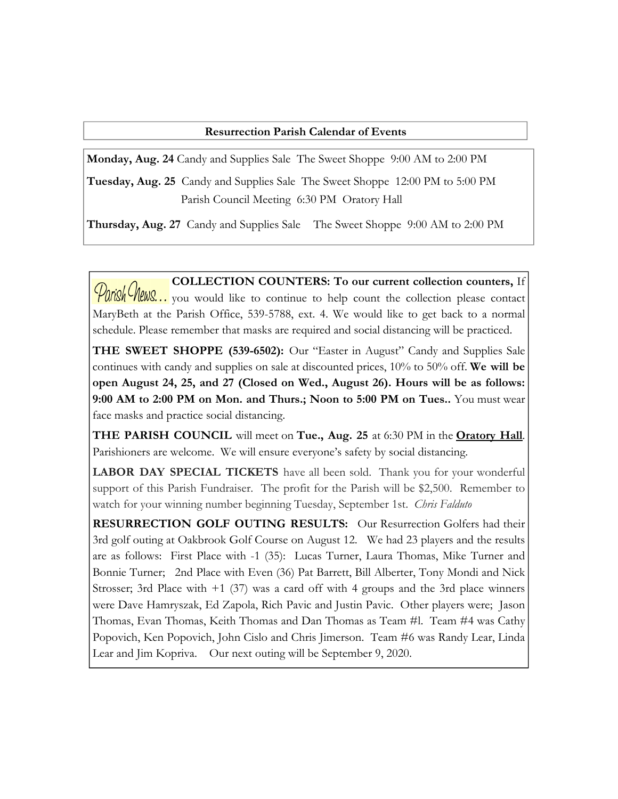# **Resurrection Parish Calendar of Events**

**Monday, Aug. 24** Candy and Supplies Sale The Sweet Shoppe 9:00 AM to 2:00 PM

**Tuesday, Aug. 25** Candy and Supplies Sale The Sweet Shoppe 12:00 PM to 5:00 PM Parish Council Meeting 6:30 PM Oratory Hall

**Thursday, Aug. 27** Candy and Supplies Sale The Sweet Shoppe 9:00 AM to 2:00 PM

**COLLECTION COUNTERS: To our current collection counters,** If Parish Chews... you would like to continue to help count the collection please contact MaryBeth at the Parish Office, 539-5788, ext. 4. We would like to get back to a normal schedule. Please remember that masks are required and social distancing will be practiced.

**THE SWEET SHOPPE (539-6502):** Our "Easter in August" Candy and Supplies Sale continues with candy and supplies on sale at discounted prices, 10% to 50% off. **We will be open August 24, 25, and 27 (Closed on Wed., August 26). Hours will be as follows: 9:00 AM to 2:00 PM on Mon. and Thurs.; Noon to 5:00 PM on Tues..** You must wear face masks and practice social distancing.

**THE PARISH COUNCIL** will meet on **Tue., Aug. 25** at 6:30 PM in the **Oratory Hall**. Parishioners are welcome. We will ensure everyone's safety by social distancing.

**LABOR DAY SPECIAL TICKETS** have all been sold. Thank you for your wonderful support of this Parish Fundraiser. The profit for the Parish will be \$2,500. Remember to watch for your winning number beginning Tuesday, September 1st. *Chris Falduto*

**RESURRECTION GOLF OUTING RESULTS:** Our Resurrection Golfers had their 3rd golf outing at Oakbrook Golf Course on August 12. We had 23 players and the results are as follows: First Place with -1 (35): Lucas Turner, Laura Thomas, Mike Turner and Bonnie Turner; 2nd Place with Even (36) Pat Barrett, Bill Alberter, Tony Mondi and Nick Strosser; 3rd Place with  $+1$  (37) was a card off with 4 groups and the 3rd place winners were Dave Hamryszak, Ed Zapola, Rich Pavic and Justin Pavic. Other players were; Jason Thomas, Evan Thomas, Keith Thomas and Dan Thomas as Team #l. Team #4 was Cathy Popovich, Ken Popovich, John Cislo and Chris Jimerson. Team #6 was Randy Lear, Linda Lear and Jim Kopriva. Our next outing will be September 9, 2020.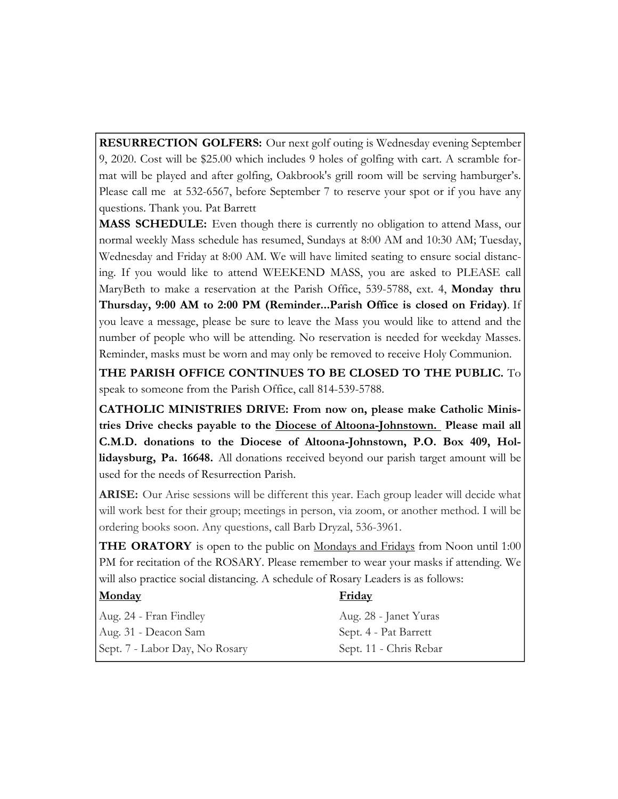**RESURRECTION GOLFERS:** Our next golf outing is Wednesday evening September 9, 2020. Cost will be \$25.00 which includes 9 holes of golfing with cart. A scramble format will be played and after golfing, Oakbrook's grill room will be serving hamburger's. Please call me at 532-6567, before September 7 to reserve your spot or if you have any questions. Thank you. Pat Barrett

**MASS SCHEDULE:** Even though there is currently no obligation to attend Mass, our normal weekly Mass schedule has resumed, Sundays at 8:00 AM and 10:30 AM; Tuesday, Wednesday and Friday at 8:00 AM. We will have limited seating to ensure social distancing. If you would like to attend WEEKEND MASS, you are asked to PLEASE call MaryBeth to make a reservation at the Parish Office, 539-5788, ext. 4, **Monday thru Thursday, 9:00 AM to 2:00 PM (Reminder...Parish Office is closed on Friday)**. If you leave a message, please be sure to leave the Mass you would like to attend and the number of people who will be attending. No reservation is needed for weekday Masses. Reminder, masks must be worn and may only be removed to receive Holy Communion.

**THE PARISH OFFICE CONTINUES TO BE CLOSED TO THE PUBLIC.** To speak to someone from the Parish Office, call 814-539-5788.

**CATHOLIC MINISTRIES DRIVE: From now on, please make Catholic Ministries Drive checks payable to the Diocese of Altoona-Johnstown. Please mail all C.M.D. donations to the Diocese of Altoona-Johnstown, P.O. Box 409, Hollidaysburg, Pa. 16648.** All donations received beyond our parish target amount will be used for the needs of Resurrection Parish.

**ARISE:** Our Arise sessions will be different this year. Each group leader will decide what will work best for their group; meetings in person, via zoom, or another method. I will be ordering books soon. Any questions, call Barb Dryzal, 536-3961.

**THE ORATORY** is open to the public on Mondays and Fridays from Noon until 1:00 PM for recitation of the ROSARY. Please remember to wear your masks if attending. We will also practice social distancing. A schedule of Rosary Leaders is as follows:

| <b>Monday</b>                  | <b>Friday</b>          |
|--------------------------------|------------------------|
| Aug. 24 - Fran Findley         | Aug. 28 - Janet Yuras  |
| Aug. 31 - Deacon Sam           | Sept. 4 - Pat Barrett  |
| Sept. 7 - Labor Day, No Rosary | Sept. 11 - Chris Rebar |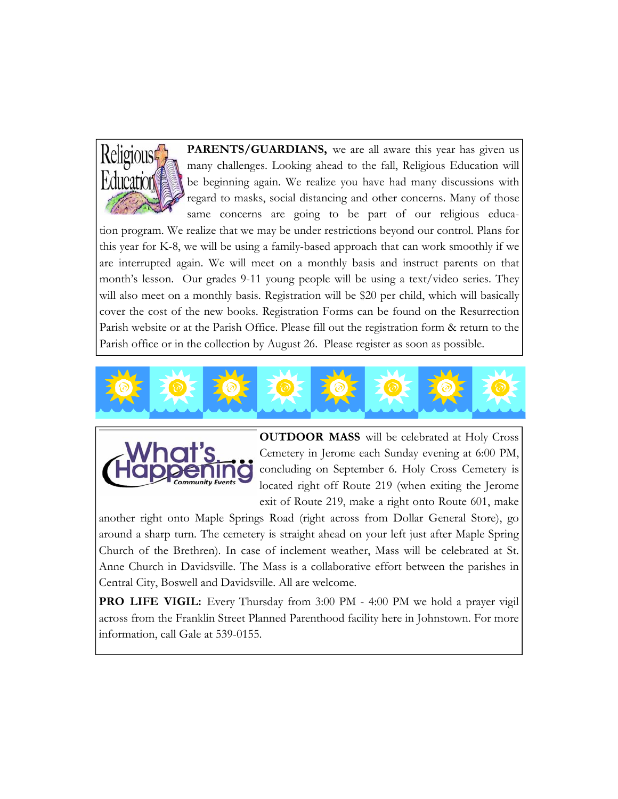

PARENTS/GUARDIANS, we are all aware this year has given us many challenges. Looking ahead to the fall, Religious Education will be beginning again. We realize you have had many discussions with regard to masks, social distancing and other concerns. Many of those same concerns are going to be part of our religious educa-

tion program. We realize that we may be under restrictions beyond our control. Plans for this year for K-8, we will be using a family-based approach that can work smoothly if we are interrupted again. We will meet on a monthly basis and instruct parents on that month's lesson. Our grades 9-11 young people will be using a text/video series. They will also meet on a monthly basis. Registration will be \$20 per child, which will basically cover the cost of the new books. Registration Forms can be found on the Resurrection Parish website or at the Parish Office. Please fill out the registration form & return to the Parish office or in the collection by August 26. Please register as soon as possible.





**OUTDOOR MASS** will be celebrated at Holy Cross Cemetery in Jerome each Sunday evening at 6:00 PM, concluding on September 6. Holy Cross Cemetery is located right off Route 219 (when exiting the Jerome exit of Route 219, make a right onto Route 601, make

another right onto Maple Springs Road (right across from Dollar General Store), go around a sharp turn. The cemetery is straight ahead on your left just after Maple Spring Church of the Brethren). In case of inclement weather, Mass will be celebrated at St. Anne Church in Davidsville. The Mass is a collaborative effort between the parishes in Central City, Boswell and Davidsville. All are welcome.

**PRO LIFE VIGIL:** Every Thursday from 3:00 PM - 4:00 PM we hold a prayer vigil across from the Franklin Street Planned Parenthood facility here in Johnstown. For more information, call Gale at 539-0155.